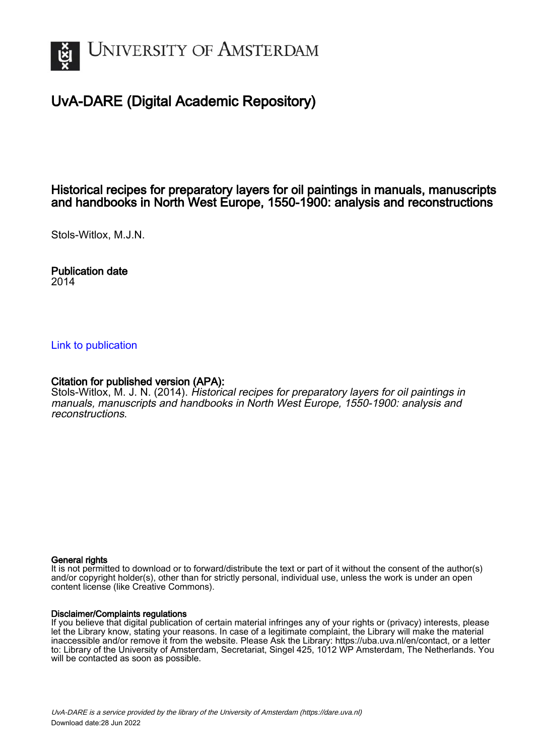

# UvA-DARE (Digital Academic Repository)

## Historical recipes for preparatory layers for oil paintings in manuals, manuscripts and handbooks in North West Europe, 1550-1900: analysis and reconstructions

Stols-Witlox, M.J.N.

Publication date 2014

#### [Link to publication](https://dare.uva.nl/personal/pure/en/publications/historical-recipes-for-preparatory-layers-for-oil-paintings-in-manuals-manuscripts-and-handbooks-in-north-west-europe-15501900-analysis-and-reconstructions(d857e372-47a7-4afe-aa70-df209368ee9d).html)

#### Citation for published version (APA):

Stols-Witlox, M. J. N. (2014). Historical recipes for preparatory layers for oil paintings in manuals, manuscripts and handbooks in North West Europe, 1550-1900: analysis and reconstructions.

#### General rights

It is not permitted to download or to forward/distribute the text or part of it without the consent of the author(s) and/or copyright holder(s), other than for strictly personal, individual use, unless the work is under an open content license (like Creative Commons).

#### Disclaimer/Complaints regulations

If you believe that digital publication of certain material infringes any of your rights or (privacy) interests, please let the Library know, stating your reasons. In case of a legitimate complaint, the Library will make the material inaccessible and/or remove it from the website. Please Ask the Library: https://uba.uva.nl/en/contact, or a letter to: Library of the University of Amsterdam, Secretariat, Singel 425, 1012 WP Amsterdam, The Netherlands. You will be contacted as soon as possible.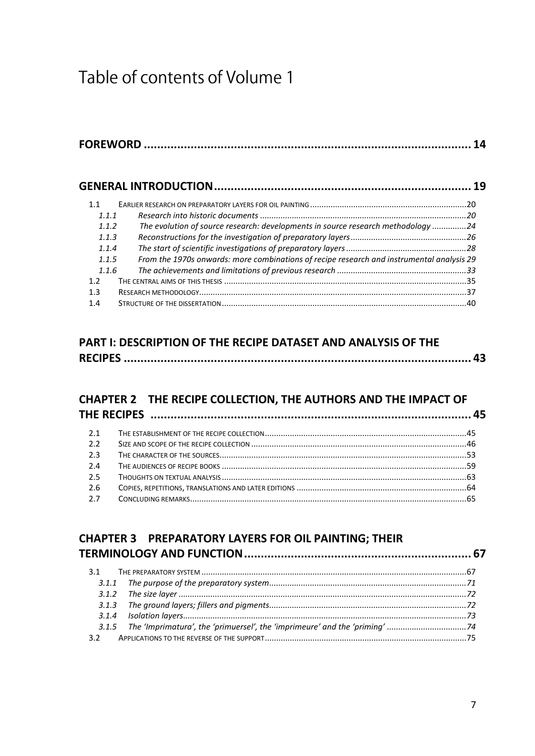# Table of contents of Volume 1

| 1.1   |                                                                                           |  |
|-------|-------------------------------------------------------------------------------------------|--|
| 111   |                                                                                           |  |
| 1.1.2 | The evolution of source research: developments in source research methodology 24          |  |
| 1.1.3 |                                                                                           |  |
| 1.1.4 |                                                                                           |  |
| 1.1.5 | From the 1970s onwards: more combinations of recipe research and instrumental analysis 29 |  |
| 1.1.6 |                                                                                           |  |
| 12    |                                                                                           |  |
| 13    |                                                                                           |  |
| 14    |                                                                                           |  |

# **PART I: DESCRIPTION OF THE RECIPE DATASET AND ANALYSIS OF THE RECIPES ........................................................................................................ 43**

# **CHAPTER 2 THE RECIPE COLLECTION, THE AUTHORS AND THE IMPACT OF**

| 21  |  |
|-----|--|
| 2.2 |  |
| 2.3 |  |
| 24  |  |
| 25  |  |
| 2.6 |  |
| 2.7 |  |

|       | <b>CHAPTER 3 PREPARATORY LAYERS FOR OIL PAINTING; THEIR</b> |  |
|-------|-------------------------------------------------------------|--|
|       |                                                             |  |
| 3.1   |                                                             |  |
| 3.1.1 |                                                             |  |
|       |                                                             |  |
| 3.1.3 |                                                             |  |
|       |                                                             |  |
|       |                                                             |  |
|       |                                                             |  |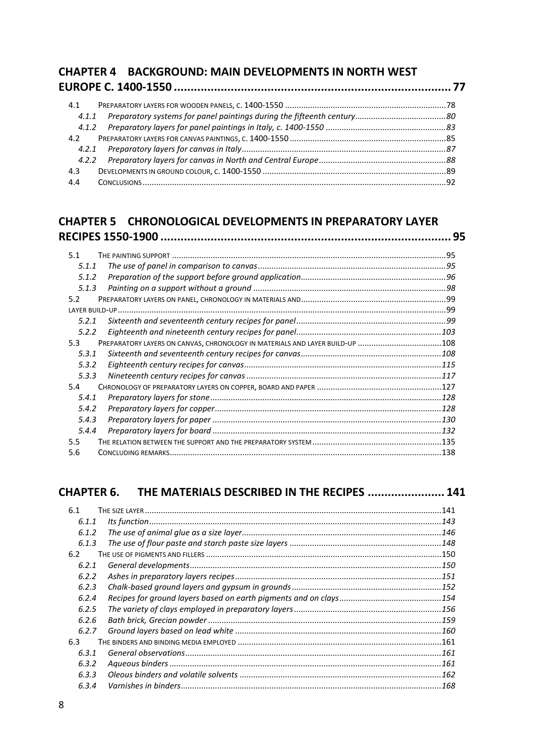| <b>CHAPTER 4 BACKGROUND: MAIN DEVELOPMENTS IN NORTH WEST</b> |  |
|--------------------------------------------------------------|--|
|                                                              |  |
| 4.1                                                          |  |
| 4.1.1                                                        |  |
| 4.1.2                                                        |  |
| 4.2                                                          |  |
| 4.2.1                                                        |  |
| 4.2.2                                                        |  |
| 4.3                                                          |  |
| 4.4                                                          |  |

### **CHAPTER 5 CHRONOLOGICAL DEVELOPMENTS IN PREPARATORY LAYER RECIPES 1550-1900 ....................................................................................... 95**

| 5.1   |                                                                              |  |
|-------|------------------------------------------------------------------------------|--|
| 5.1.1 |                                                                              |  |
| 5.1.2 |                                                                              |  |
| 5.1.3 |                                                                              |  |
| 5.2   |                                                                              |  |
|       |                                                                              |  |
| 5.2.1 |                                                                              |  |
| 5.2.2 |                                                                              |  |
| 5.3   | PREPARATORY LAYERS ON CANVAS, CHRONOLOGY IN MATERIALS AND LAYER BUILD-UP 108 |  |
| 5.3.1 |                                                                              |  |
| 5.3.2 |                                                                              |  |
| 5.3.3 |                                                                              |  |
| 5.4   |                                                                              |  |
| 5.4.1 |                                                                              |  |
| 5.4.2 |                                                                              |  |
| 5.4.3 |                                                                              |  |
| 5.4.4 |                                                                              |  |
| 5.5   |                                                                              |  |
| 5.6   |                                                                              |  |
|       |                                                                              |  |

# **CHAPTER 6. THE MATERIALS DESCRIBED IN THE RECIPES ....................... 141**

| 6.1   |  |
|-------|--|
| 6.1.1 |  |
| 6.1.2 |  |
| 6.1.3 |  |
| 6.2   |  |
| 6.2.1 |  |
| 6.2.2 |  |
| 6.2.3 |  |
| 6.2.4 |  |
| 6.2.5 |  |
| 6.2.6 |  |
| 6.2.7 |  |
| 6.3   |  |
| 6.3.1 |  |
| 6.3.2 |  |
| 6.3.3 |  |
| 6.3.4 |  |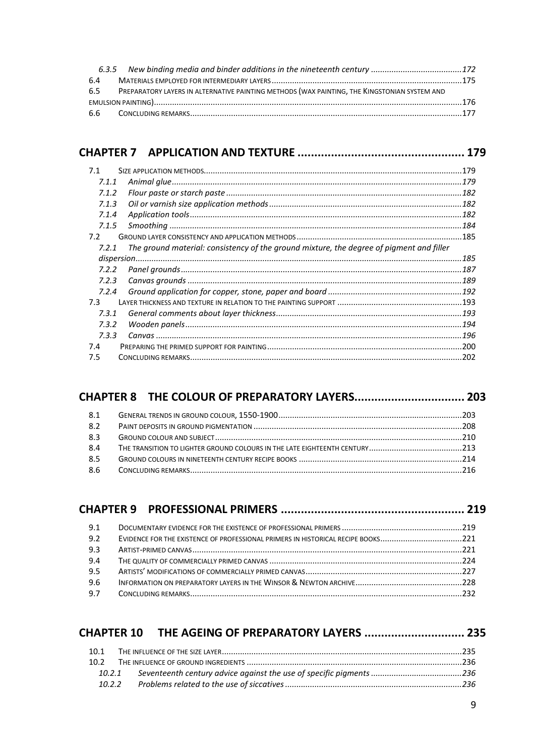| 6.4 |                                                                                                  |  |
|-----|--------------------------------------------------------------------------------------------------|--|
|     | 6.5 PREPARATORY LAYERS IN ALTERNATIVE PAINTING METHODS (WAX PAINTING, THE KINGSTONIAN SYSTEM AND |  |
|     |                                                                                                  |  |
|     |                                                                                                  |  |

# **CHAPTER 7 APPLICATION AND TEXTURE .................................................. 179**

| 7.1.1<br>7.1.2<br>7.1.3<br>7.1.4<br>7.1.5<br>The ground material: consistency of the ground mixture, the degree of pigment and filler<br>7.2.1<br>7.2.2<br>7.2.3<br>7.2.4<br>7.3.1<br>7.3.2 | 7.1 | .179 |
|---------------------------------------------------------------------------------------------------------------------------------------------------------------------------------------------|-----|------|
|                                                                                                                                                                                             |     |      |
|                                                                                                                                                                                             |     |      |
|                                                                                                                                                                                             |     |      |
|                                                                                                                                                                                             |     |      |
|                                                                                                                                                                                             |     |      |
|                                                                                                                                                                                             | 7.2 |      |
|                                                                                                                                                                                             |     |      |
|                                                                                                                                                                                             |     |      |
|                                                                                                                                                                                             |     |      |
|                                                                                                                                                                                             |     |      |
|                                                                                                                                                                                             |     |      |
|                                                                                                                                                                                             | 7.3 |      |
|                                                                                                                                                                                             |     |      |
|                                                                                                                                                                                             |     |      |
| 7.3.3                                                                                                                                                                                       |     |      |
|                                                                                                                                                                                             | 7.4 |      |
|                                                                                                                                                                                             | 7.5 |      |
|                                                                                                                                                                                             |     |      |

| 8.1 |  |
|-----|--|
| 8.2 |  |
| 8.3 |  |
| 8.4 |  |
| 8.5 |  |
| 8.6 |  |

| 9.1 |                                                                                  |  |
|-----|----------------------------------------------------------------------------------|--|
| 9.2 | EVIDENCE FOR THE EXISTENCE OF PROFESSIONAL PRIMERS IN HISTORICAL RECIPE BOOKS221 |  |
| 9.3 |                                                                                  |  |
| 9.4 |                                                                                  |  |
| 9.5 |                                                                                  |  |
| 9.6 |                                                                                  |  |
| 9.7 |                                                                                  |  |

|      | CHAPTER 10 THE AGEING OF PREPARATORY LAYERS  235 |  |
|------|--------------------------------------------------|--|
| 10.1 |                                                  |  |
| 102  |                                                  |  |
|      |                                                  |  |
|      |                                                  |  |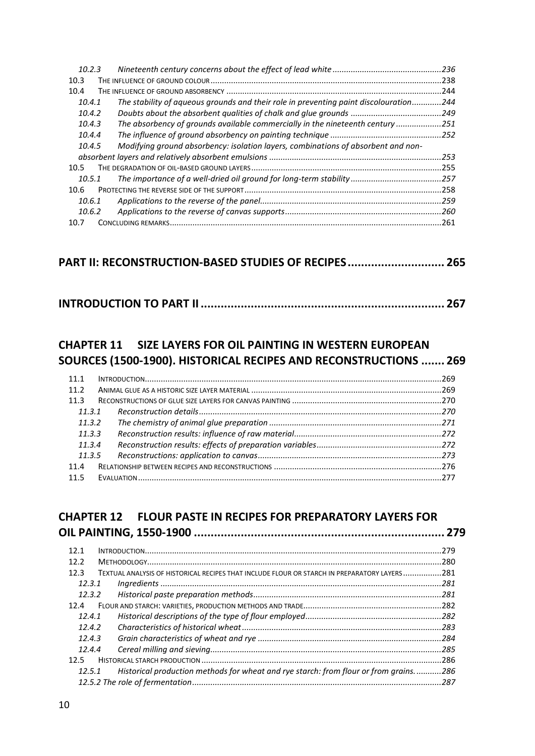| 10.2.3 |                                                                                    | .236 |
|--------|------------------------------------------------------------------------------------|------|
| 10.3   |                                                                                    | .238 |
| 10.4   |                                                                                    | 244  |
| 10.4.1 | The stability of aqueous grounds and their role in preventing paint discolouration | 244  |
| 10.4.2 |                                                                                    | .249 |
| 10.4.3 | The absorbency of grounds available commercially in the nineteenth century         | .251 |
| 10.4.4 |                                                                                    | .252 |
| 10.4.5 | Modifying ground absorbency: isolation layers, combinations of absorbent and non-  |      |
|        |                                                                                    | 253  |
| 10.5   |                                                                                    | .255 |
| 10.5.1 |                                                                                    | .257 |
| 10.6   |                                                                                    | .258 |
| 10.6.1 |                                                                                    | 259  |
| 10.6.2 |                                                                                    | .260 |
| 10.7   |                                                                                    | 261  |

## **PART II: RECONSTRUCTION-BASED STUDIES OF RECIPES............................. 265**

|--|--|

# **CHAPTER 11 SIZE LAYERS FOR OIL PAINTING IN WESTERN EUROPEAN SOURCES (1500-1900). HISTORICAL RECIPES AND RECONSTRUCTIONS ....... 269**

| 11 1   |        |  |  |
|--------|--------|--|--|
| 11.2   |        |  |  |
| 11.3   |        |  |  |
| 11.3.1 |        |  |  |
| 11.3.2 |        |  |  |
| 11.3.3 |        |  |  |
|        | 11.3.4 |  |  |
|        | 11.3.5 |  |  |
| 114    |        |  |  |
| 11.5   |        |  |  |

# **CHAPTER 12 FLOUR PASTE IN RECIPES FOR PREPARATORY LAYERS FOR OIL PAINTING, 1550-1900 ........................................................................... 279**

| 121    | -279                                                                                         |
|--------|----------------------------------------------------------------------------------------------|
| 12.2   |                                                                                              |
| 12.3   | TEXTUAL ANALYSIS OF HISTORICAL RECIPES THAT INCLUDE FLOUR OR STARCH IN PREPARATORY LAYERS281 |
| 12.3.1 |                                                                                              |
| 12.3.2 |                                                                                              |
| 12.4   |                                                                                              |
| 12.4.1 |                                                                                              |
| 12.4.2 |                                                                                              |
| 12.4.3 |                                                                                              |
| 12.4.4 | .285                                                                                         |
| 12.5   | . 286                                                                                        |
| 12.5.1 | Historical production methods for wheat and rye starch: from flour or from grains286         |
|        |                                                                                              |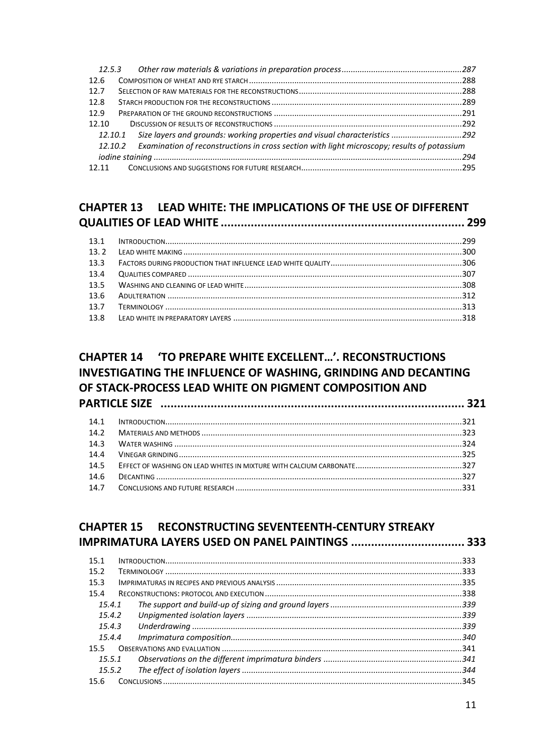| 12.6  |                                                                                                     |  |
|-------|-----------------------------------------------------------------------------------------------------|--|
| 12.7  |                                                                                                     |  |
| 12.8  |                                                                                                     |  |
| 12.9  |                                                                                                     |  |
| 12.10 |                                                                                                     |  |
|       | 12.10.1 Size layers and grounds: working properties and visual characteristics 292                  |  |
|       | 12.10.2 Examination of reconstructions in cross section with light microscopy; results of potassium |  |
|       |                                                                                                     |  |
|       |                                                                                                     |  |

# **CHAPTER 13 LEAD WHITE: THE IMPLICATIONS OF THE USE OF DIFFERENT**

| 13.2 |  |
|------|--|
| 13.3 |  |
| 13.4 |  |
| 135  |  |
|      |  |
| 137  |  |
| 13.8 |  |

# **CHAPTER 14 'TO PREPARE WHITE EXCELLENT...'. RECONSTRUCTIONS INVESTIGATING THE INFLUENCE OF WASHING. GRINDING AND DECANTING** OF STACK-PROCESS LEAD WHITE ON PIGMENT COMPOSITION AND

| 14.2 |  |
|------|--|
| 14.3 |  |
| 14.4 |  |
| 14.5 |  |
| 14.6 |  |
|      |  |

| <b>CHAPTER 15</b> | RECONSTRUCTING SEVENTEENTH-CENTURY STREAKY |  |
|-------------------|--------------------------------------------|--|
|                   |                                            |  |
| 15.1              |                                            |  |
| 15.2              |                                            |  |
| 15.3              |                                            |  |
| 15.4              |                                            |  |
| 15.4.1            |                                            |  |
| 15.4.2            |                                            |  |
| 15.4.3            |                                            |  |
| 15.4.4            |                                            |  |
| 15.5              |                                            |  |
| 15.5.1            |                                            |  |
| 15.5.2            |                                            |  |
| 15 6              |                                            |  |